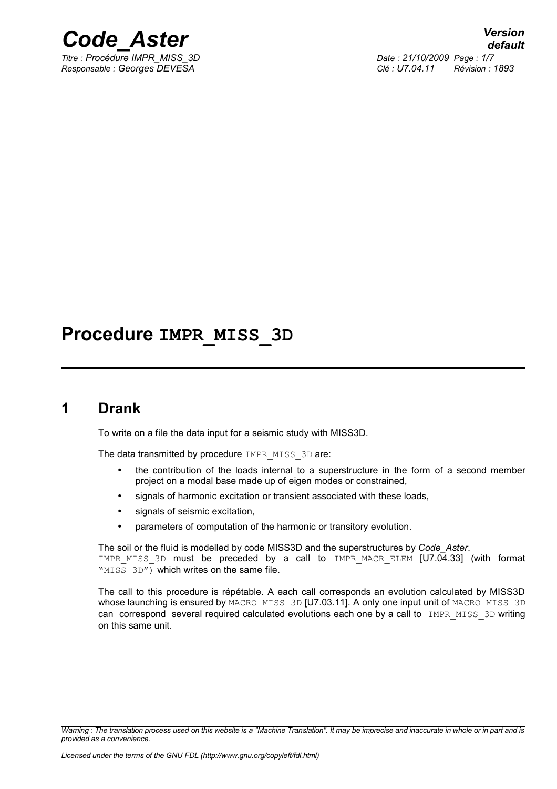

*Titre : Procédure IMPR\_MISS\_3D Date : 21/10/2009 Page : 1/7*

*Responsable : Georges DEVESA Clé : U7.04.11 Révision : 1893*

## **Procedure IMPR\_MISS\_3D**

### **1 Drank**

To write on a file the data input for a seismic study with MISS3D.

The data transmitted by procedure IMPR\_MISS\_3D are:

- the contribution of the loads internal to a superstructure in the form of a second member project on a modal base made up of eigen modes or constrained,
- signals of harmonic excitation or transient associated with these loads,
- signals of seismic excitation,
- parameters of computation of the harmonic or transitory evolution.

The soil or the fluid is modelled by code MISS3D and the superstructures by *Code\_Aster*. IMPR MISS 3D must be preceded by a call to IMPR MACR ELEM [U7.04.33] (with format "MISS 3D") which writes on the same file.

The call to this procedure is répétable. A each call corresponds an evolution calculated by MISS3D whose launching is ensured by MACRO\_MISS\_3D [U7.03.11]. A only one input unit of MACRO\_MISS\_3D can correspond several required calculated evolutions each one by a call to IMPR MISS 3D writing on this same unit.

*Warning : The translation process used on this website is a "Machine Translation". It may be imprecise and inaccurate in whole or in part and is provided as a convenience.*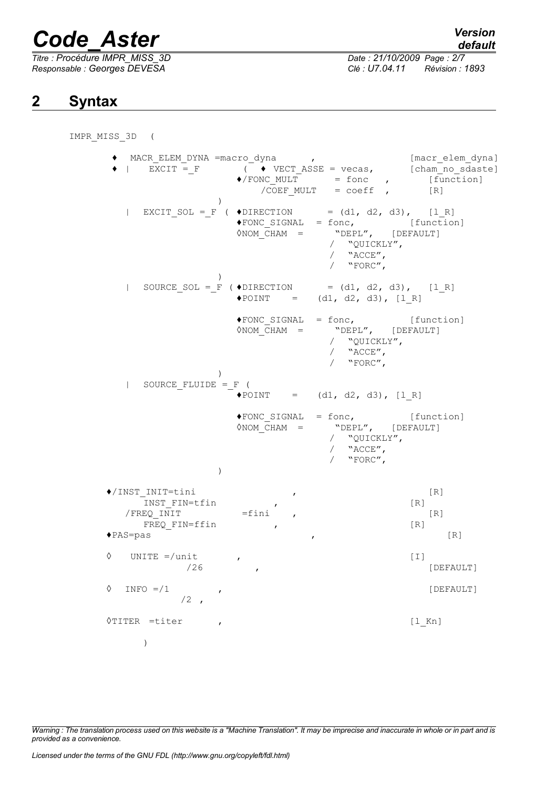*Titre : Procédure IMPR\_MISS\_3D Date : 21/10/2009 Page : 2/7 Responsable : Georges DEVESA Clé : U7.04.11 Révision : 1893*

## *default*

## **2 Syntax**

#### IMPR\_MISS\_3D (

♦ MACR\_ELEM\_DYNA =macro\_dyna , [macr\_elem\_dyna]  $\blacklozenge$  | EXCIT = F (  $\blacklozenge$  VECT ASSE = vecas, [cham\_no\_sdaste]  $\sqrt{*}/$  FONC MULT = fonc , [function]  $/COEF$  MULT = coeff ,  $[R]$ )  $|$  EXCIT\_SOL =\_F (  $\triangle$ DIRECTION = (d1, d2, d3), [1\_R]<br>  $\triangle$ FONC SIGNAL = fonc, [function ♦FONC\_SIGNAL = fonc, [function]  $\Diamond$ NOM CHAM = "DEPL", [DEFAULT] / "QUICKLY",  $/$  "ACCE", / "FORC", ) | SOURCE SOL = F (  $\triangle$ DIRECTION = (d1, d2, d3), [1 R]  $\triangle$ POINT =  $(d1, d2, d3)$ , [1R]  $\text{FONC\_SIGNAL} = \text{fonc},$  [function]<br>  $\text{ONOM CHAM} = \text{VDEPL},$  [DEFAULT] <sup>1011</sup>", [1011c1]<br>"DEPL", [DEFAULT] / "QUICKLY", / "ACCE", / "FORC", ) | SOURCE\_FLUIDE =\_F (  $\triangle$ POINT =  $(d1, d2, d3)$ , [1 R]  $\text{FONC\_SIGNAL} = \text{fonc},$  [function]<br>  $\text{ONOM CHAM} = \text{VDEPL},$  [DEFAULT] ersic,<br>Nome = "DEPL", [DEFAULT] / "QUICKLY", / "ACCE", / "FORC", ) ♦/INST\_INIT=tini , [R] -<br>INST FIN=tfin , (R)  $/$  FREQ INIT  $=$ fini , FREQ FIN=ffin , (R) ♦PAS=pas , [R]  $\Diamond$  UNITE =/unit ,  $\Box$ /26 , [DEFAULT]  $\Diamond$  INFO =/1 , (DEFAULT)  $/2$ , ◊TITER =titer , [l\_Kn] )

*Warning : The translation process used on this website is a "Machine Translation". It may be imprecise and inaccurate in whole or in part and is provided as a convenience.*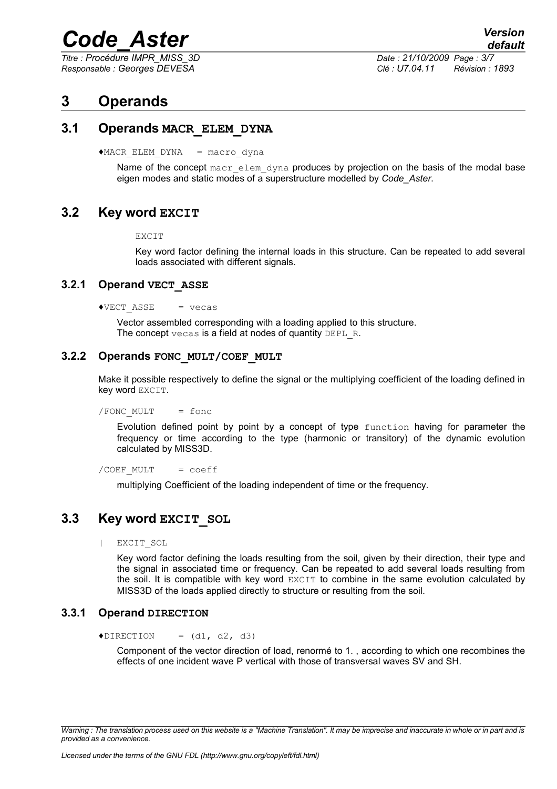*Titre : Procédure IMPR\_MISS\_3D Date : 21/10/2009 Page : 3/7*

*Responsable : Georges DEVESA Clé : U7.04.11 Révision : 1893*

## **3 Operands**

#### **3.1 Operands MACR\_ELEM\_DYNA**

 $*$ MACR ELEM DYNA = macro dyna

Name of the concept macr elem dyna produces by projection on the basis of the modal base eigen modes and static modes of a superstructure modelled by *Code\_Aster*.

#### **3.2 Key word EXCIT**

EXCIT

Key word factor defining the internal loads in this structure. Can be repeated to add several loads associated with different signals.

#### **3.2.1 Operand VECT\_ASSE**

 $\triangle VECT ASSE$  = vecas

Vector assembled corresponding with a loading applied to this structure. The concept vecas is a field at nodes of quantity DEPL R.

#### **3.2.2 Operands FONC\_MULT/COEF\_MULT**

Make it possible respectively to define the signal or the multiplying coefficient of the loading defined in key word EXCIT.

/FONC\_MULT = fonc

Evolution defined point by point by a concept of type function having for parameter the frequency or time according to the type (harmonic or transitory) of the dynamic evolution calculated by MISS3D.

/COEF\_MULT = coeff

multiplying Coefficient of the loading independent of time or the frequency.

#### **3.3 Key word EXCIT\_SOL**

| EXCIT\_SOL

Key word factor defining the loads resulting from the soil, given by their direction, their type and the signal in associated time or frequency. Can be repeated to add several loads resulting from the soil. It is compatible with key word EXCIT to combine in the same evolution calculated by MISS3D of the loads applied directly to structure or resulting from the soil.

#### **3.3.1 Operand DIRECTION**

 $\triangle$ DIRECTION =  $(d1, d2, d3)$ 

Component of the vector direction of load, renormé to 1. , according to which one recombines the effects of one incident wave P vertical with those of transversal waves SV and SH.

*Warning : The translation process used on this website is a "Machine Translation". It may be imprecise and inaccurate in whole or in part and is provided as a convenience.*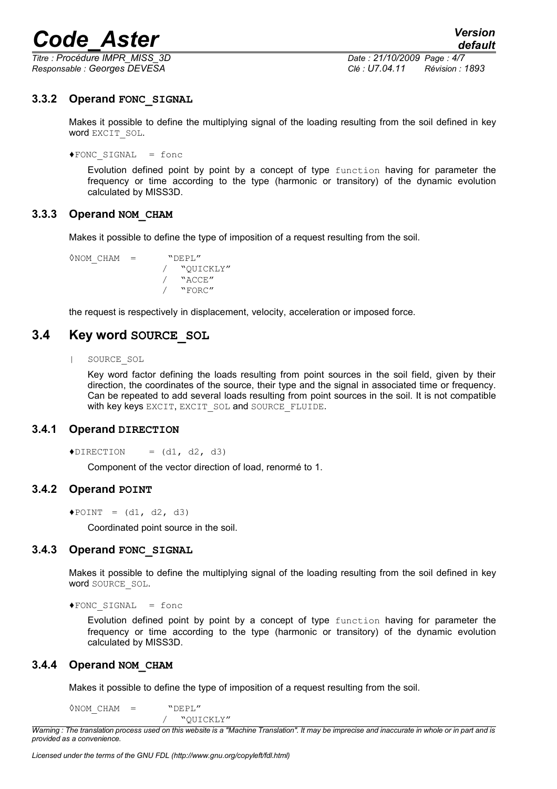*Titre : Procédure IMPR\_MISS\_3D Date : 21/10/2009 Page : 4/7 Responsable : Georges DEVESA Clé : U7.04.11 Révision : 1893*

#### **3.3.2 Operand FONC\_SIGNAL**

Makes it possible to define the multiplying signal of the loading resulting from the soil defined in key word EXCIT\_SOL.

 $\blacklozenge$  FONC SIGNAL = fonc

Evolution defined point by point by a concept of type function having for parameter the frequency or time according to the type (harmonic or transitory) of the dynamic evolution calculated by MISS3D.

#### **3.3.3 Operand NOM\_CHAM**

Makes it possible to define the type of imposition of a request resulting from the soil.

◊NOM\_CHAM = "DEPL" / "QUICKLY" / "ACCE" / "FORC"

the request is respectively in displacement, velocity, acceleration or imposed force.

#### **3.4 Key word SOURCE\_SOL**

| SOURCE\_SOL

Key word factor defining the loads resulting from point sources in the soil field, given by their direction, the coordinates of the source, their type and the signal in associated time or frequency. Can be repeated to add several loads resulting from point sources in the soil. It is not compatible with key keys EXCIT, EXCIT SOL and SOURCE FLUIDE.

#### **3.4.1 Operand DIRECTION**

 $\triangle$ DIRECTION =  $(d1, d2, d3)$ 

Component of the vector direction of load, renormé to 1.

#### **3.4.2 Operand POINT**

 $\triangle$ POINT =  $(d1, d2, d3)$ 

Coordinated point source in the soil.

#### **3.4.3 Operand FONC\_SIGNAL**

Makes it possible to define the multiplying signal of the loading resulting from the soil defined in key word SOURCE\_SOL.

♦FONC\_SIGNAL = fonc

Evolution defined point by point by a concept of type function having for parameter the frequency or time according to the type (harmonic or transitory) of the dynamic evolution calculated by MISS3D.

#### **3.4.4 Operand NOM\_CHAM**

Makes it possible to define the type of imposition of a request resulting from the soil.

 $\Diamond$ NOM CHAM = "DEPL"

/ "QUICKLY"

*Warning : The translation process used on this website is a "Machine Translation". It may be imprecise and inaccurate in whole or in part and is provided as a convenience.*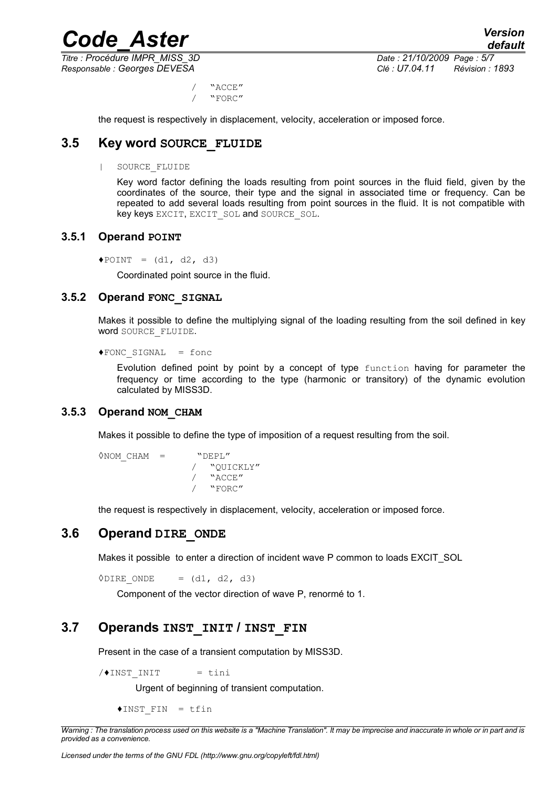*Titre : Procédure IMPR\_MISS\_3D Date : 21/10/2009 Page : 5/7*

*Responsable : Georges DEVESA Clé : U7.04.11 Révision : 1893*

/ "ACCE" / "FORC"

the request is respectively in displacement, velocity, acceleration or imposed force.

#### **3.5 Key word SOURCE\_FLUIDE**

#### | SOURCE\_FLUIDE

Key word factor defining the loads resulting from point sources in the fluid field, given by the coordinates of the source, their type and the signal in associated time or frequency. Can be repeated to add several loads resulting from point sources in the fluid. It is not compatible with key keys EXCIT, EXCIT SOL and SOURCE SOL.

#### **3.5.1 Operand POINT**

 $\triangle$ POINT =  $(d1, d2, d3)$ 

Coordinated point source in the fluid.

#### **3.5.2 Operand FONC\_SIGNAL**

Makes it possible to define the multiplying signal of the loading resulting from the soil defined in key word SOURCE\_FLUIDE.

```
♦FONC_SIGNAL = fonc
```
Evolution defined point by point by a concept of type function having for parameter the frequency or time according to the type (harmonic or transitory) of the dynamic evolution calculated by MISS3D.

#### **3.5.3 Operand NOM\_CHAM**

Makes it possible to define the type of imposition of a request resulting from the soil.

```
\DiamondNOM CHAM = "DEPL"
               / "QUICKLY"
          / "ACCE"<br>/ "FORC"
              / "FORC"
```
the request is respectively in displacement, velocity, acceleration or imposed force.

#### **3.6 Operand DIRE\_ONDE**

Makes it possible to enter a direction of incident wave P common to loads EXCIT\_SOL

 $\Diamond$ DIRE ONDE = (d1, d2, d3)

Component of the vector direction of wave P, renormé to 1.

#### **3.7 Operands INST\_INIT / INST\_FIN**

Present in the case of a transient computation by MISS3D.

 $/$  $\triangle$ INST INIT = tini

Urgent of beginning of transient computation.

♦INST\_FIN = tfin

*Warning : The translation process used on this website is a "Machine Translation". It may be imprecise and inaccurate in whole or in part and is provided as a convenience.*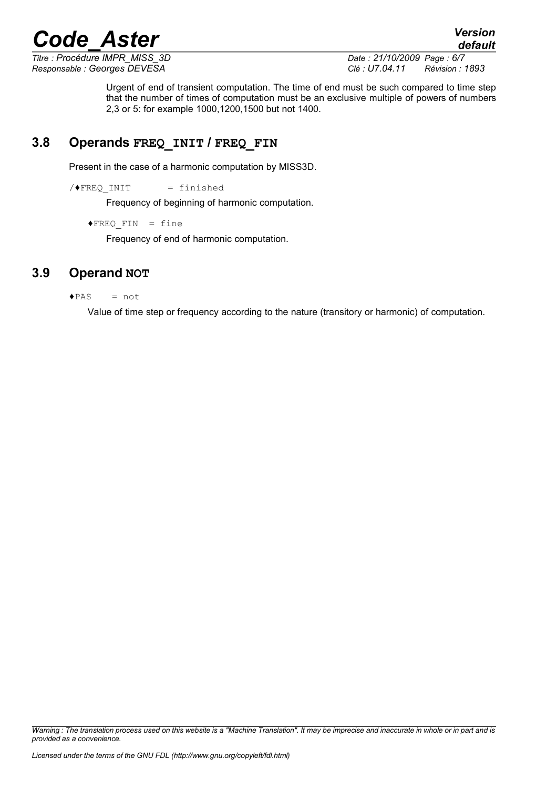*default*

*Titre : Procédure IMPR\_MISS\_3D Date : 21/10/2009 Page : 6/7 Responsable : Georges DEVESA Clé : U7.04.11 Révision : 1893*

Urgent of end of transient computation. The time of end must be such compared to time step that the number of times of computation must be an exclusive multiple of powers of numbers 2,3 or 5: for example 1000,1200,1500 but not 1400.

### **3.8 Operands FREQ\_INIT / FREQ\_FIN**

Present in the case of a harmonic computation by MISS3D.

 $/$  FREQ INIT = finished

Frequency of beginning of harmonic computation.

 $\blacklozenge$  FREQ FIN = fine

Frequency of end of harmonic computation.

### **3.9 Operand NOT**

 $\triangle$  PAS = not

Value of time step or frequency according to the nature (transitory or harmonic) of computation.

*Warning : The translation process used on this website is a "Machine Translation". It may be imprecise and inaccurate in whole or in part and is provided as a convenience.*